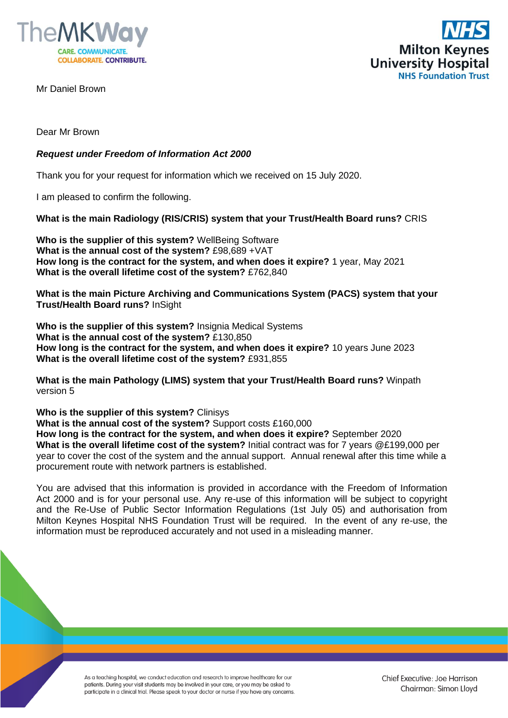

Mr Daniel Brown



Dear Mr Brown

## *Request under Freedom of Information Act 2000*

Thank you for your request for information which we received on 15 July 2020.

I am pleased to confirm the following.

**What is the main Radiology (RIS/CRIS) system that your Trust/Health Board runs?** CRIS

**Who is the supplier of this system?** WellBeing Software **What is the annual cost of the system?** £98,689 +VAT **How long is the contract for the system, and when does it expire?** 1 year, May 2021 **What is the overall lifetime cost of the system?** £762,840

**What is the main Picture Archiving and Communications System (PACS) system that your Trust/Health Board runs?** InSight

**Who is the supplier of this system?** Insignia Medical Systems **What is the annual cost of the system?** £130,850 **How long is the contract for the system, and when does it expire?** 10 years June 2023 **What is the overall lifetime cost of the system?** £931,855

**What is the main Pathology (LIMS) system that your Trust/Health Board runs?** Winpath version 5

**Who is the supplier of this system?** Clinisys **What is the annual cost of the system?** Support costs £160,000 **How long is the contract for the system, and when does it expire?** September 2020 **What is the overall lifetime cost of the system?** Initial contract was for 7 years @£199,000 per year to cover the cost of the system and the annual support. Annual renewal after this time while a procurement route with network partners is established.

You are advised that this information is provided in accordance with the Freedom of Information Act 2000 and is for your personal use. Any re-use of this information will be subject to copyright and the Re-Use of Public Sector Information Regulations (1st July 05) and authorisation from Milton Keynes Hospital NHS Foundation Trust will be required. In the event of any re-use, the information must be reproduced accurately and not used in a misleading manner.

> As a teaching hospital, we conduct education and research to improve healthcare for our patients. During your visit students may be involved in your care, or you may be asked to participate in a clinical trial. Please speak to your doctor or nurse if you have any concerns.

Chief Executive: Joe Harrison Chairman: Simon Lloyd